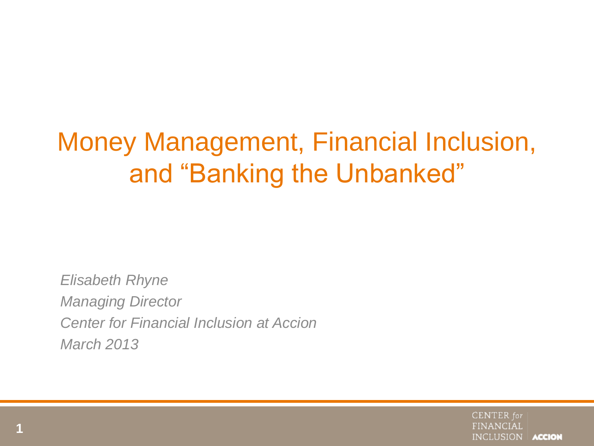# Money Management, Financial Inclusion, and "Banking the Unbanked"

*Elisabeth Rhyne Managing Director Center for Financial Inclusion at Accion March 2013*

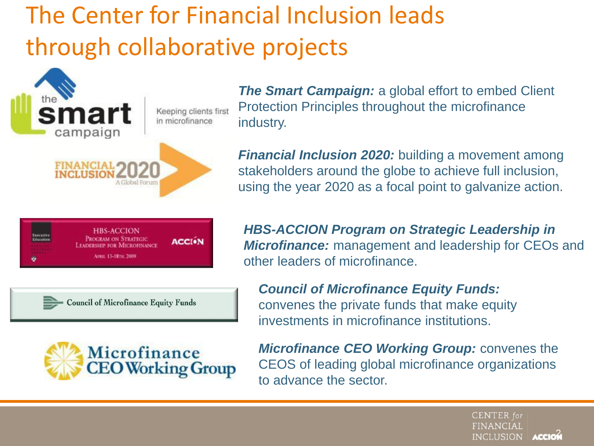## The Center for Financial Inclusion leads through collaborative projects



*The Smart Campaign:* a global effort to embed Client Protection Principles throughout the microfinance industry.

*Financial Inclusion 2020:* building a movement among stakeholders around the globe to achieve full inclusion, using the year 2020 as a focal point to galvanize action.



- Council of Microfinance Equity Funds



*HBS-ACCION Program on Strategic Leadership in Microfinance:* management and leadership for CEOs and other leaders of microfinance.

*Council of Microfinance Equity Funds:* convenes the private funds that make equity investments in microfinance institutions.

*Microfinance CEO Working Group:* convenes the CEOS of leading global microfinance organizations to advance the sector.

> **CENTER** for **FINANCIAL INCLUSION ACCION**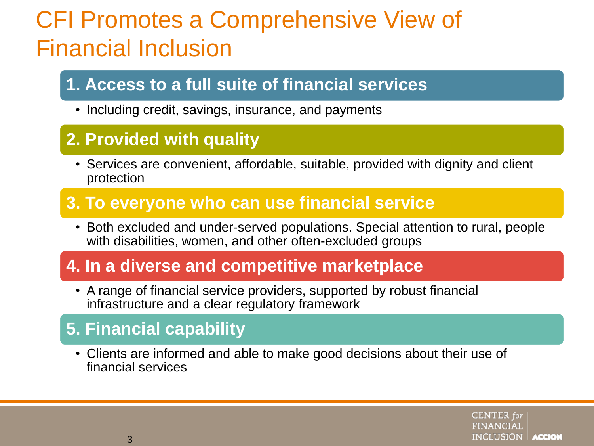## CFI Promotes a Comprehensive View of Financial Inclusion

### **1. Access to a full suite of financial services**

• Including credit, savings, insurance, and payments

### **2. Provided with quality**

• Services are convenient, affordable, suitable, provided with dignity and client protection

### **3. To everyone who can use financial service**

• Both excluded and under-served populations. Special attention to rural, people with disabilities, women, and other often-excluded groups

### **4. In a diverse and competitive marketplace**

• A range of financial service providers, supported by robust financial infrastructure and a clear regulatory framework

### **5. Financial capability**

• Clients are informed and able to make good decisions about their use of financial services

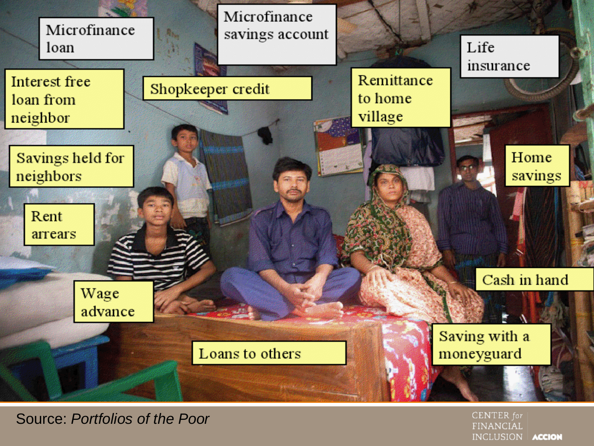

Source: *Portfolios of the Poor*

**CENTER** for **FINANCIAL INCLUSION ACCION**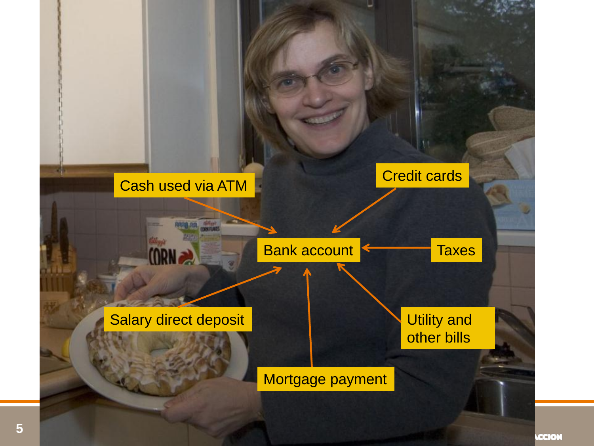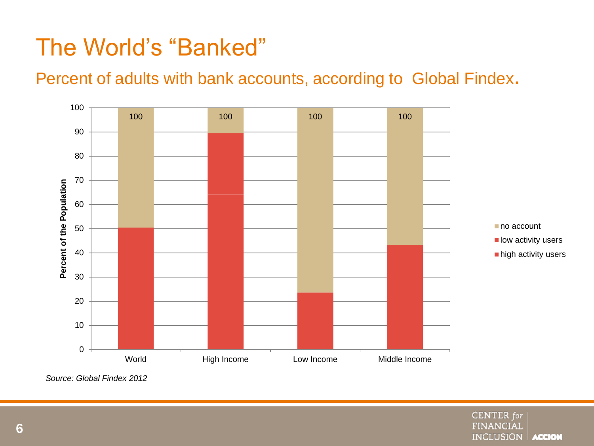## The World's "Banked"

#### Percent of adults with bank accounts, according to Global Findex.



*Source: Global Findex 2012*

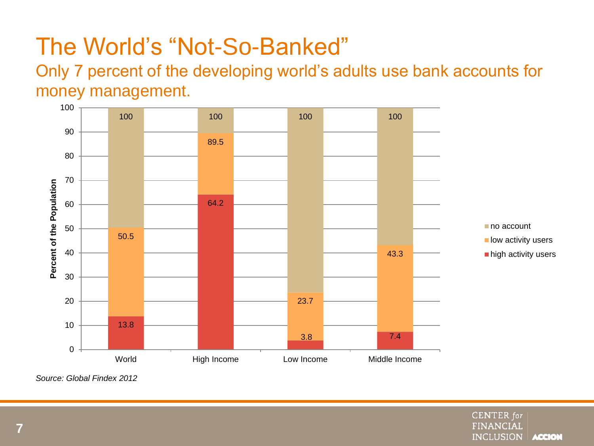## The World's "Not-So-Banked"

Only 7 percent of the developing world's adults use bank accounts for money management.



*Source: Global Findex 2012*